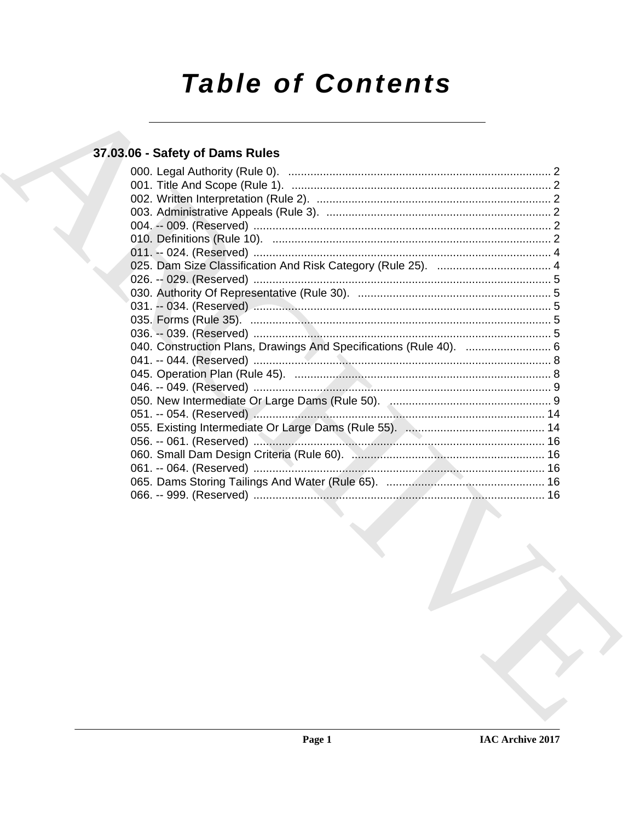# **Table of Contents**

### 37.03.06 - Safety of Dams Rules

| 040. Construction Plans, Drawings And Specifications (Rule 40).  6 |  |
|--------------------------------------------------------------------|--|
|                                                                    |  |
|                                                                    |  |
|                                                                    |  |
|                                                                    |  |
|                                                                    |  |
|                                                                    |  |
|                                                                    |  |
|                                                                    |  |
|                                                                    |  |
|                                                                    |  |
|                                                                    |  |
|                                                                    |  |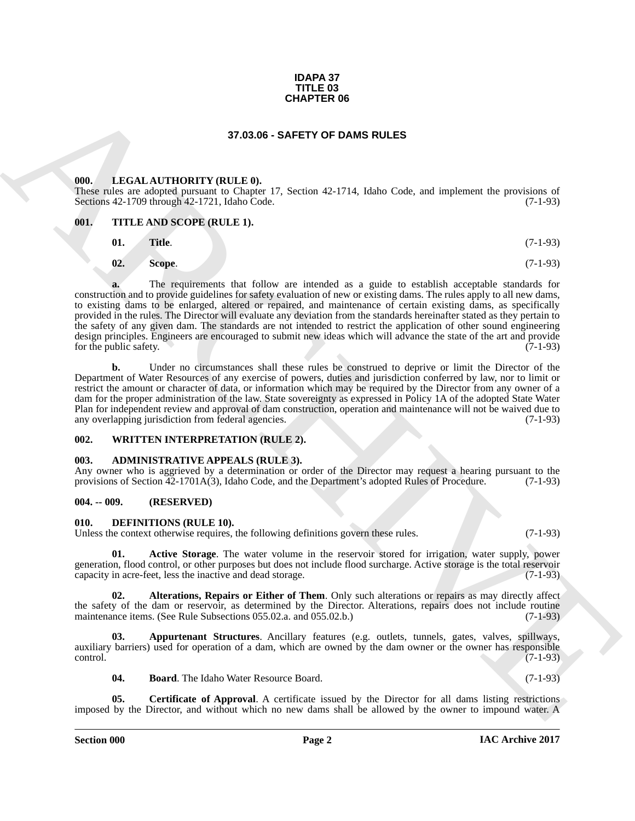#### **IDAPA 37 TITLE 03 CHAPTER 06**

#### **37.03.06 - SAFETY OF DAMS RULES**

#### <span id="page-1-1"></span><span id="page-1-0"></span>**000. LEGAL AUTHORITY (RULE 0).**

These rules are adopted pursuant to Chapter 17, Section 42-1714, Idaho Code, and implement the provisions of Sections 42-1709 through 42-1721, Idaho Code. (7-1-93)

#### <span id="page-1-2"></span>**001. TITLE AND SCOPE (RULE 1).**

$$
01. Title. (7-1-93)
$$

$$
02. Scope. (7-1-93)
$$

**CHAPTER OF**<br> **CHARCHIVE CHAPTER CHAPTER OF CHAPTER CHAPTER CHAPTER CHAPTER CHAPTER CHAPTER CHAPTER CHAPTER CHAPTER CHAPTER CHAPTER CHAPTER CHAPTER CHAPTER CHAPTER CHAPTER CHAPTER CHAPTER CHAPTER CHAPTER CHAPTER CHAPTER C a.** The requirements that follow are intended as a guide to establish acceptable standards for construction and to provide guidelines for safety evaluation of new or existing dams. The rules apply to all new dams, to existing dams to be enlarged, altered or repaired, and maintenance of certain existing dams, as specifically provided in the rules. The Director will evaluate any deviation from the standards hereinafter stated as they pertain to the safety of any given dam. The standards are not intended to restrict the application of other sound engineering design principles. Engineers are encouraged to submit new ideas which will advance the state of the art and provide<br>for the public safety. (7-1-93) for the public safety.

**b.** Under no circumstances shall these rules be construed to deprive or limit the Director of the Department of Water Resources of any exercise of powers, duties and jurisdiction conferred by law, nor to limit or restrict the amount or character of data, or information which may be required by the Director from any owner of a dam for the proper administration of the law. State sovereignty as expressed in Policy 1A of the adopted State Water Plan for independent review and approval of dam construction, operation and maintenance will not be waived due to any overlapping jurisdiction from federal agencies. (7-1-93)

#### <span id="page-1-3"></span>**002. WRITTEN INTERPRETATION (RULE 2).**

#### <span id="page-1-4"></span>**003. ADMINISTRATIVE APPEALS (RULE 3).**

Any owner who is aggrieved by a determination or order of the Director may request a hearing pursuant to the provisions of Section 42-1701A(3), Idaho Code, and the Department's adopted Rules of Procedure. (7-1-93) provisions of Section  $42-1701A(3)$ , Idaho Code, and the Department's adopted Rules of Procedure.

#### <span id="page-1-5"></span>**004. -- 009. (RESERVED)**

#### <span id="page-1-12"></span><span id="page-1-6"></span>**010. DEFINITIONS (RULE 10).**

Unless the context otherwise requires, the following definitions govern these rules. (7-1-93)

<span id="page-1-7"></span>**01. Active Storage**. The water volume in the reservoir stored for irrigation, water supply, power generation, flood control, or other purposes but does not include flood surcharge. Active storage is the total reservoir capacity in acre-feet, less the inactive and dead storage. (7-1-93) capacity in acre-feet, less the inactive and dead storage.

<span id="page-1-8"></span>**02. Alterations, Repairs or Either of Them**. Only such alterations or repairs as may directly affect the safety of the dam or reservoir, as determined by the Director. Alterations, repairs does not include routine maintenance items. (See Rule Subsections 055.02.a. and 055.02.b.) (7-1-93) maintenance items. (See Rule Subsections 055.02.a. and 055.02.b.)

**03. Appurtenant Structures**. Ancillary features (e.g. outlets, tunnels, gates, valves, spillways, auxiliary barriers) used for operation of a dam, which are owned by the dam owner or the owner has responsible control.  $\sqrt{(7-1-93)}$ 

<span id="page-1-11"></span><span id="page-1-10"></span><span id="page-1-9"></span>**04. Board**. The Idaho Water Resource Board. (7-1-93)

**05. Certificate of Approval**. A certificate issued by the Director for all dams listing restrictions imposed by the Director, and without which no new dams shall be allowed by the owner to impound water. A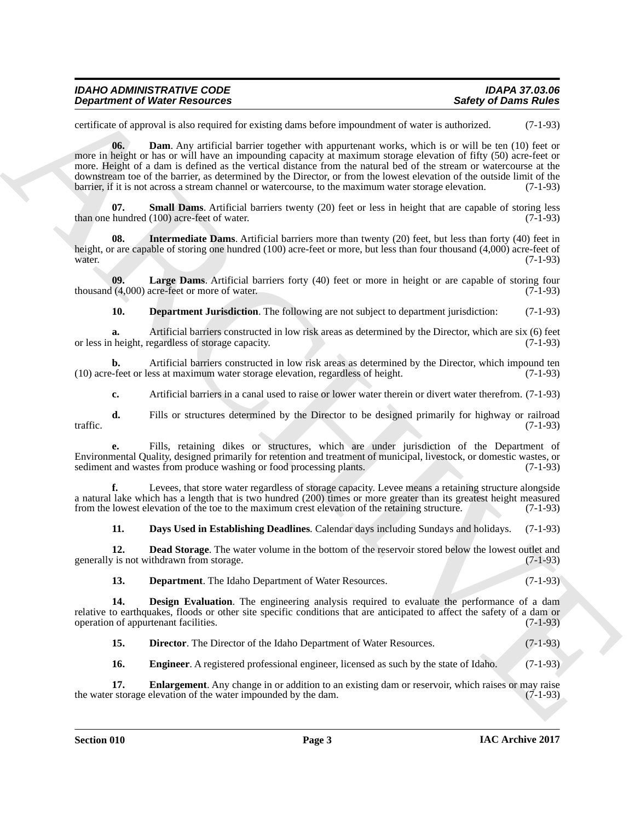| <b>IDAHO ADMINISTRATIVE CODE</b>     | IDAPA 37.03.06              |
|--------------------------------------|-----------------------------|
| <b>Department of Water Resources</b> | <b>Safety of Dams Rules</b> |

<span id="page-2-0"></span>certificate of approval is also required for existing dams before impoundment of water is authorized. (7-1-93)

**Example for Weight Resources** <br>
Surface of **Surface Control** and the saiding base between input section we will be able to control and the same of the same of the same of the same of the same of the same of the same of t **06. Dam**. Any artificial barrier together with appurtenant works, which is or will be ten (10) feet or more in height or has or will have an impounding capacity at maximum storage elevation of fifty (50) acre-feet or more. Height of a dam is defined as the vertical distance from the natural bed of the stream or watercourse at the downstream toe of the barrier, as determined by the Director, or from the lowest elevation of the outside limit of the barrier, if it is not across a stream channel or watercourse, to the maximum water storage elevation. ( barrier, if it is not across a stream channel or watercourse, to the maximum water storage elevation.

<span id="page-2-11"></span>**07. Small Dams**. Artificial barriers twenty (20) feet or less in height that are capable of storing less than one hundred (100) acre-feet of water. (7-1-93)

<span id="page-2-9"></span>**08. Intermediate Dams**. Artificial barriers more than twenty (20) feet, but less than forty (40) feet in height, or are capable of storing one hundred (100) acre-feet or more, but less than four thousand (4,000) acre-feet of water. (7-1-93)

**09.** Large Dams. Artificial barriers forty (40) feet or more in height or are capable of storing four (4,000) acre-feet or more of water. thousand  $(4,000)$  acre-feet or more of water.

<span id="page-2-10"></span><span id="page-2-4"></span>**10. Department Jurisdiction**. The following are not subject to department jurisdiction: (7-1-93)

**a.** Artificial barriers constructed in low risk areas as determined by the Director, which are six (6) feet height, regardless of storage capacity. or less in height, regardless of storage capacity.

**b.** Artificial barriers constructed in low risk areas as determined by the Director, which impound ten (10) acre-feet or less at maximum water storage elevation, regardless of height. (7-1-93)

**c.** Artificial barriers in a canal used to raise or lower water therein or divert water therefrom. (7-1-93)

**d.** Fills or structures determined by the Director to be designed primarily for highway or railroad (7-1-93) traffic.  $(7-1-93)$ 

**e.** Fills, retaining dikes or structures, which are under jurisdiction of the Department of Environmental Quality, designed primarily for retention and treatment of municipal, livestock, or domestic wastes, or sediment and wastes from produce washing or food processing plants.

**f.** Levees, that store water regardless of storage capacity. Levee means a retaining structure alongside a natural lake which has a length that is two hundred (200) times or more greater than its greatest height measured from the lowest elevation of the toe to the maximum crest elevation of the retaining structure. (7-1-93)

<span id="page-2-2"></span><span id="page-2-1"></span>**11. Days Used in Establishing Deadlines**. Calendar days including Sundays and holidays. (7-1-93)

**12. Dead Storage**. The water volume in the bottom of the reservoir stored below the lowest outlet and generally is not withdrawn from storage. (7-1-93)

<span id="page-2-5"></span><span id="page-2-3"></span>**13. Department**. The Idaho Department of Water Resources. (7-1-93)

**14. Design Evaluation**. The engineering analysis required to evaluate the performance of a dam relative to earthquakes, floods or other site specific conditions that are anticipated to affect the safety of a dam or operation of appurtenant facilities. (7-1-93)

<span id="page-2-6"></span>**15. Director**. The Director of the Idaho Department of Water Resources. (7-1-93)

<span id="page-2-8"></span><span id="page-2-7"></span>**16. Engineer**. A registered professional engineer, licensed as such by the state of Idaho. (7-1-93)

**17. Enlargement**. Any change in or addition to an existing dam or reservoir, which raises or may raise rstorage elevation of the water impounded by the dam. (7-1-93) the water storage elevation of the water impounded by the dam.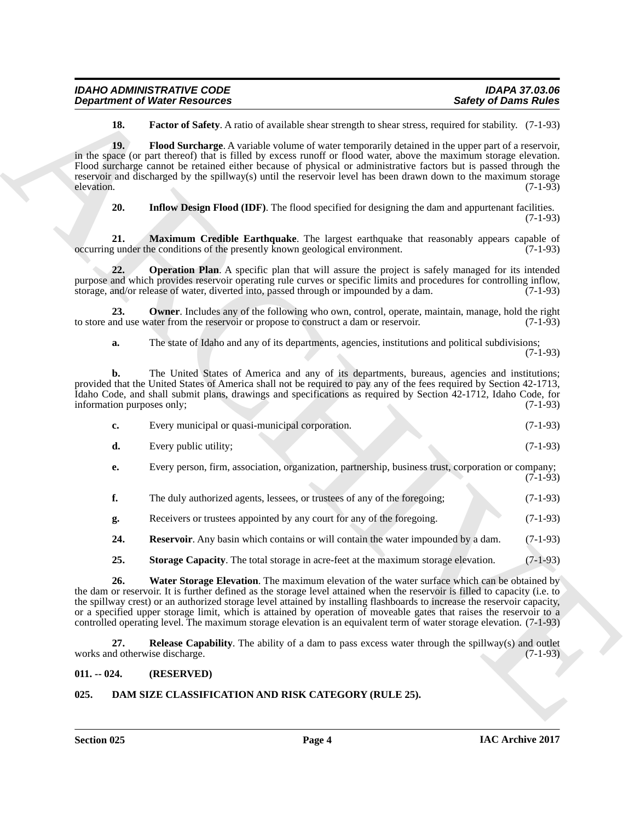| <b>IDAHO ADMINISTRATIVE CODE</b>     | IDAPA 37.03.06              |
|--------------------------------------|-----------------------------|
| <b>Department of Water Resources</b> | <b>Safety of Dams Rules</b> |

<span id="page-3-4"></span><span id="page-3-3"></span>**18. Factor of Safety**. A ratio of available shear strength to shear stress, required for stability. (7-1-93)

**Experiment of Nicker Resources**<br> **Surface of States Association**<br> **Surface of Exercise Association** Antibox deviation developement of exercise the space of Exercise<br> **ARCHIVES** SURFACE ASSOCIATES AND CONTINUES ARCHIVES A **19. Flood Surcharge**. A variable volume of water temporarily detained in the upper part of a reservoir, in the space (or part thereof) that is filled by excess runoff or flood water, above the maximum storage elevation. Flood surcharge cannot be retained either because of physical or administrative factors but is passed through the reservoir and discharged by the spillway(s) until the reservoir level has been drawn down to the maximum storage elevation. (7-1-93) elevation. (7-1-93)

<span id="page-3-7"></span><span id="page-3-6"></span><span id="page-3-5"></span>**20. Inflow Design Flood (IDF)**. The flood specified for designing the dam and appurtenant facilities.

(7-1-93)

**21. Maximum Credible Earthquake**. The largest earthquake that reasonably appears capable of gunder the conditions of the presently known geological environment. (7-1-93) occurring under the conditions of the presently known geological environment.

**22. Operation Plan**. A specific plan that will assure the project is safely managed for its intended purpose and which provides reservoir operating rule curves or specific limits and procedures for controlling inflow, storage, and/or release of water, diverted into, passed through or impounded by a dam. (7-1-93) storage, and/or release of water, diverted into, passed through or impounded by a dam.

**23. Owner**. Includes any of the following who own, control, operate, maintain, manage, hold the right and use water from the reservoir or propose to construct a dam or reservoir. (7-1-93) to store and use water from the reservoir or propose to construct a dam or reservoir.

<span id="page-3-8"></span>**a.** The state of Idaho and any of its departments, agencies, institutions and political subdivisions; (7-1-93)

**b.** The United States of America and any of its departments, bureaus, agencies and institutions; provided that the United States of America shall not be required to pay any of the fees required by Section 42-1713, Idaho Code, and shall submit plans, drawings and specifications as required by Section 42-1712, Idaho Code, for information purposes only; (7-1-93) information purposes only;

| $c_{\bullet}$ | Every municipal or quasi-municipal corporation.                                                     | $(7-1-93)$ |
|---------------|-----------------------------------------------------------------------------------------------------|------------|
| d.            | Every public utility;                                                                               | $(7-1-93)$ |
| е.            | Every person, firm, association, organization, partnership, business trust, corporation or company; | $(7-1-93)$ |

| The duly authorized agents, lessees, or trustees of any of the foregoing; |  | $(7-1-93)$ |
|---------------------------------------------------------------------------|--|------------|

**g.** Receivers or trustees appointed by any court for any of the foregoing. (7-1-93)

<span id="page-3-10"></span>**24. Reservoir**. Any basin which contains or will contain the water impounded by a dam. (7-1-93)

<span id="page-3-12"></span><span id="page-3-11"></span>**25. Storage Capacity**. The total storage in acre-feet at the maximum storage elevation. (7-1-93)

**26. Water Storage Elevation**. The maximum elevation of the water surface which can be obtained by the dam or reservoir. It is further defined as the storage level attained when the reservoir is filled to capacity (i.e. to the spillway crest) or an authorized storage level attained by installing flashboards to increase the reservoir capacity, or a specified upper storage limit, which is attained by operation of moveable gates that raises the reservoir to a controlled operating level. The maximum storage elevation is an equivalent term of water storage elevation. (7-1-93)

<span id="page-3-9"></span>**27. Release Capability**. The ability of a dam to pass excess water through the spillway(s) and outlet works and otherwise discharge. (7-1-93)

#### <span id="page-3-0"></span>**011. -- 024. (RESERVED)**

#### <span id="page-3-2"></span><span id="page-3-1"></span>**025. DAM SIZE CLASSIFICATION AND RISK CATEGORY (RULE 25).**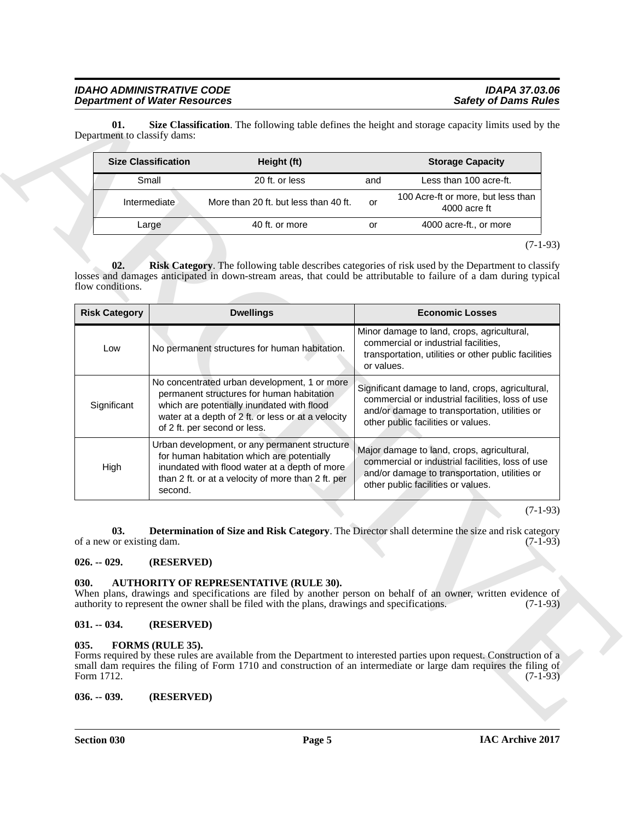<span id="page-4-8"></span><span id="page-4-7"></span>

| <b>Size Classification</b> | Height (ft)                           |     | <b>Storage Capacity</b>                            |  |
|----------------------------|---------------------------------------|-----|----------------------------------------------------|--|
| Small                      | 20 ft. or less                        | and | Less than 100 acre-ft.                             |  |
| Intermediate               | More than 20 ft. but less than 40 ft. | or  | 100 Acre-ft or more, but less than<br>4000 acre ft |  |
| Large                      | 40 ft. or more                        | or  | 4000 acre-ft., or more                             |  |

|                                    | <b>Size Classification</b>   | Height (ft)                                                                                                                                                                                        |            | <b>Storage Capacity</b>                                                                                                                                                                                                                                   |
|------------------------------------|------------------------------|----------------------------------------------------------------------------------------------------------------------------------------------------------------------------------------------------|------------|-----------------------------------------------------------------------------------------------------------------------------------------------------------------------------------------------------------------------------------------------------------|
|                                    | Small                        | 20 ft. or less                                                                                                                                                                                     | and        | Less than 100 acre-ft.                                                                                                                                                                                                                                    |
|                                    | Intermediate                 | More than 20 ft. but less than 40 ft.                                                                                                                                                              | or         | 100 Acre-ft or more, but less than<br>4000 acre ft                                                                                                                                                                                                        |
|                                    | Large                        | 40 ft. or more                                                                                                                                                                                     | or         | 4000 acre-ft., or more                                                                                                                                                                                                                                    |
| $\mathbf{02.}$<br>flow conditions. |                              |                                                                                                                                                                                                    |            | $(7-1-93)$<br>Risk Category. The following table describes categories of risk used by the Department to classify<br>losses and damages anticipated in down-stream areas, that could be attributable to failure of a dam during typical                    |
| <b>Risk Category</b>               |                              | <b>Dwellings</b>                                                                                                                                                                                   |            | <b>Economic Losses</b>                                                                                                                                                                                                                                    |
| Low                                |                              | No permanent structures for human habitation.                                                                                                                                                      | or values. | Minor damage to land, crops, agricultural,<br>commercial or industrial facilities,<br>transportation, utilities or other public facilities                                                                                                                |
| Significant                        | of 2 ft. per second or less. | No concentrated urban development, 1 or more<br>permanent structures for human habitation<br>which are potentially inundated with flood<br>water at a depth of 2 ft. or less or at a velocity      |            | Significant damage to land, crops, agricultural,<br>commercial or industrial facilities, loss of use<br>and/or damage to transportation, utilities or<br>other public facilities or values.                                                               |
| High                               | second.                      | Urban development, or any permanent structure<br>for human habitation which are potentially<br>inundated with flood water at a depth of more<br>than 2 ft. or at a velocity of more than 2 ft. per |            | Major damage to land, crops, agricultural,<br>commercial or industrial facilities, loss of use<br>and/or damage to transportation, utilities or<br>other public facilities or values.                                                                     |
|                                    |                              |                                                                                                                                                                                                    |            | $(7-1-93)$                                                                                                                                                                                                                                                |
| 03.<br>of a new or existing dam.   |                              |                                                                                                                                                                                                    |            | Determination of Size and Risk Category. The Director shall determine the size and risk category<br>$(7-1-93)$                                                                                                                                            |
| $026. - 029.$                      | (RESERVED)                   |                                                                                                                                                                                                    |            |                                                                                                                                                                                                                                                           |
| 030.                               |                              | AUTHORITY OF REPRESENTATIVE (RULE 30).<br>authority to represent the owner shall be filed with the plans, drawings and specifications.                                                             |            | When plans, drawings and specifications are filed by another person on behalf of an owner, written evidence of<br>$(7-1-93)$                                                                                                                              |
| $031. - 034.$                      | (RESERVED)                   |                                                                                                                                                                                                    |            |                                                                                                                                                                                                                                                           |
| 035.<br>Form 1712.                 | FORMS (RULE 35).             |                                                                                                                                                                                                    |            | Forms required by these rules are available from the Department to interested parties upon request. Construction of a<br>small dam requires the filing of Form 1710 and construction of an intermediate or large dam requires the filing of<br>$(7-1-93)$ |
|                                    |                              |                                                                                                                                                                                                    |            |                                                                                                                                                                                                                                                           |

#### <span id="page-4-6"></span><span id="page-4-0"></span>**026. -- 029. (RESERVED)**

#### <span id="page-4-5"></span><span id="page-4-1"></span>**030. AUTHORITY OF REPRESENTATIVE (RULE 30).**

#### <span id="page-4-2"></span>**031. -- 034. (RESERVED)**

#### <span id="page-4-9"></span><span id="page-4-4"></span><span id="page-4-3"></span>**035. FORMS (RULE 35).**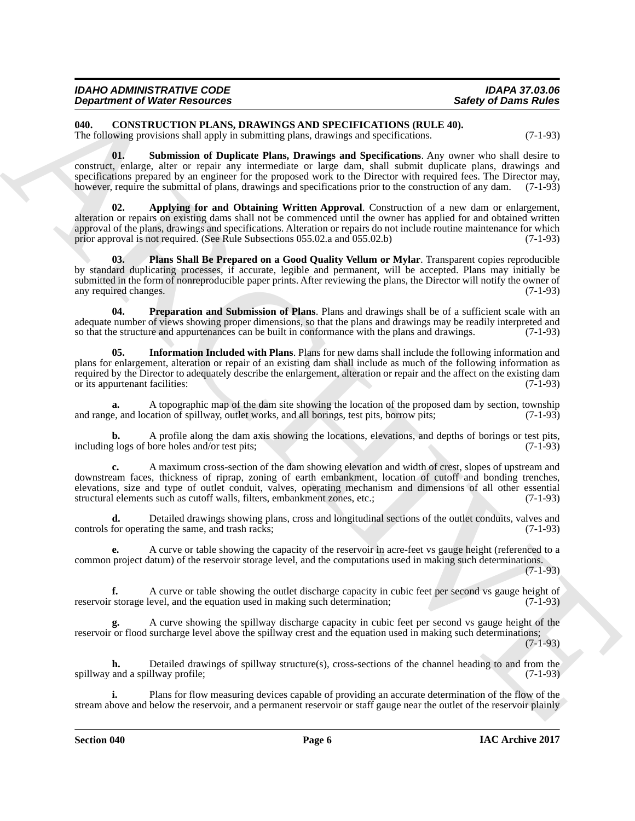| <b>IDAHO ADMINISTRATIVE CODE</b>     | <b>IDAPA 37.03.06</b>       |
|--------------------------------------|-----------------------------|
| <b>Department of Water Resources</b> | <b>Safety of Dams Rules</b> |

<span id="page-5-1"></span><span id="page-5-0"></span>**040. CONSTRUCTION PLANS, DRAWINGS AND SPECIFICATIONS (RULE 40).**

The following provisions shall apply in submitting plans, drawings and specifications. (7-1-93)

<span id="page-5-6"></span>**01. Submission of Duplicate Plans, Drawings and Specifications**. Any owner who shall desire to construct, enlarge, alter or repair any intermediate or large dam, shall submit duplicate plans, drawings and specifications prepared by an engineer for the proposed work to the Director with required fees. The Director may, however, require the submittal of plans, drawings and specifications prior to the construction of any dam. (7-1-93)

<span id="page-5-2"></span>**02. Applying for and Obtaining Written Approval**. Construction of a new dam or enlargement, alteration or repairs on existing dams shall not be commenced until the owner has applied for and obtained written approval of the plans, drawings and specifications. Alteration or repairs do not include routine maintenance for which prior approval is not required. (See Rule Subsections 055.02.a and 055.02.b) (7-1-93)

<span id="page-5-4"></span>**03. Plans Shall Be Prepared on a Good Quality Vellum or Mylar**. Transparent copies reproducible by standard duplicating processes, if accurate, legible and permanent, will be accepted. Plans may initially be submitted in the form of nonreproducible paper prints. After reviewing the plans, the Director will notify the owner of any required changes. (7-1-93) any required changes.

<span id="page-5-5"></span><span id="page-5-3"></span>**04. Preparation and Submission of Plans**. Plans and drawings shall be of a sufficient scale with an adequate number of views showing proper dimensions, so that the plans and drawings may be readily interpreted and<br>so that the structure and appurtenances can be built in conformance with the plans and drawings. (7-1-93) so that the structure and appurtenances can be built in conformance with the plans and drawings.

**Experimental Of New York Details and Scheme of New York Details and Scheme of New York David Taken<br>
U.B., C. (1998) The Laboratory of New York Details and Scheme of New York David Taken<br>
The Laboratory provides and Speci 05. Information Included with Plans**. Plans for new dams shall include the following information and plans for enlargement, alteration or repair of an existing dam shall include as much of the following information as required by the Director to adequately describe the enlargement, alteration or repair and the affect on the existing dam<br>or its appurtenant facilities: (7-1-93) or its appurtenant facilities:

**a.** A topographic map of the dam site showing the location of the proposed dam by section, township e, and location of spillway, outlet works, and all borings, test pits, borrow pits; (7-1-93) and range, and location of spillway, outlet works, and all borings, test pits, borrow pits;

**b.** A profile along the dam axis showing the locations, elevations, and depths of borings or test pits, (7-1-93) including logs of bore holes and/or test pits;

**c.** A maximum cross-section of the dam showing elevation and width of crest, slopes of upstream and downstream faces, thickness of riprap, zoning of earth embankment, location of cutoff and bonding trenches, elevations, size and type of outlet conduit, valves, operating mechanism and dimensions of all other essential structural elements such as cutoff walls, filters, embankment zones, etc.; (7-1-93)

**d.** Detailed drawings showing plans, cross and longitudinal sections of the outlet conduits, valves and for operating the same, and trash racks; controls for operating the same, and trash racks;

**e.** A curve or table showing the capacity of the reservoir in acre-feet vs gauge height (referenced to a common project datum) of the reservoir storage level, and the computations used in making such determinations. (7-1-93)

**f.** A curve or table showing the outlet discharge capacity in cubic feet per second vs gauge height of storage level, and the equation used in making such determination: (7-1-93) reservoir storage level, and the equation used in making such determination;

**g.** A curve showing the spillway discharge capacity in cubic feet per second vs gauge height of the reservoir or flood surcharge level above the spillway crest and the equation used in making such determinations;

(7-1-93)

**h.** Detailed drawings of spillway structure(s), cross-sections of the channel heading to and from the spillway and a spillway profile; (7-1-93)

**i.** Plans for flow measuring devices capable of providing an accurate determination of the flow of the stream above and below the reservoir, and a permanent reservoir or staff gauge near the outlet of the reservoir plainly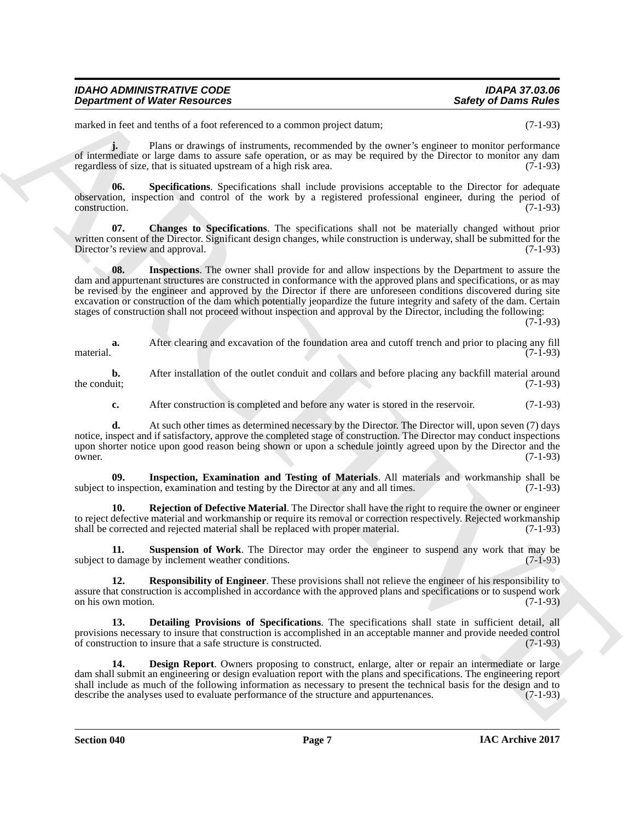| <b>IDAHO ADMINISTRATIVE CODE</b>     | <b>IDAPA 37.03.06</b>       |
|--------------------------------------|-----------------------------|
| <b>Department of Water Resources</b> | <b>Safety of Dams Rules</b> |

marked in feet and tenths of a foot referenced to a common project datum; (7-1-93)

**j.** Plans or drawings of instruments, recommended by the owner's engineer to monitor performance of intermediate or large dams to assure safe operation, or as may be required by the Director to monitor any dam regardless of size, that is situated upstream of a high risk area. (7-1-93)

<span id="page-6-7"></span>**06. Specifications**. Specifications shall include provisions acceptable to the Director for adequate observation, inspection and control of the work by a registered professional engineer, during the period of construction. (7-1-93)

<span id="page-6-4"></span><span id="page-6-0"></span>**07. Changes to Specifications**. The specifications shall not be materially changed without prior written consent of the Director. Significant design changes, while construction is underway, shall be submitted for the Director's review and approval. (7-1-93) Director's review and approval.

**Experiment of Niceles Associates**<br>
and in level as location and the statement of the statement of the statement of the statement of the statement of the statement of the statement of the statement of the statement of the **08.** Inspections. The owner shall provide for and allow inspections by the Department to assure the dam and appurtenant structures are constructed in conformance with the approved plans and specifications, or as may be revised by the engineer and approved by the Director if there are unforeseen conditions discovered during site excavation or construction of the dam which potentially jeopardize the future integrity and safety of the dam. Certain stages of construction shall not proceed without inspection and approval by the Director, including the following:  $(7-1-93)$ 

**a.** After clearing and excavation of the foundation area and cutoff trench and prior to placing any fill (7-1-93) material.  $(7-1-93)$ 

**b.** After installation of the outlet conduit and collars and before placing any backfill material around the conduit; (7-1-93) the conduit;  $(7-1-93)$ 

**c.** After construction is completed and before any water is stored in the reservoir. (7-1-93)

**d.** At such other times as determined necessary by the Director. The Director will, upon seven (7) days notice, inspect and if satisfactory, approve the completed stage of construction. The Director may conduct inspections upon shorter notice upon good reason being shown or upon a schedule jointly agreed upon by the Director and the owner. owner. (7-1-93)

<span id="page-6-3"></span>**09.** Inspection, Examination and Testing of Materials. All materials and workmanship shall be birection, examination and testing by the Director at any and all times. subject to inspection, examination and testing by the Director at any and all times.

<span id="page-6-5"></span>**10. Rejection of Defective Material**. The Director shall have the right to require the owner or engineer to reject defective material and workmanship or require its removal or correction respectively. Rejected workmanship shall be corrected and rejected material shall be replaced with proper material. (7-1-93) shall be corrected and rejected material shall be replaced with proper material.

<span id="page-6-8"></span>**11. Suspension of Work**. The Director may order the engineer to suspend any work that may be subject to damage by inclement weather conditions. (7-1-93)

<span id="page-6-6"></span>**12. Responsibility of Engineer**. These provisions shall not relieve the engineer of his responsibility to assure that construction is accomplished in accordance with the approved plans and specifications or to suspend work on his own motion. (7-1-93)

<span id="page-6-2"></span>**13. Detailing Provisions of Specifications**. The specifications shall state in sufficient detail, all provisions necessary to insure that construction is accomplished in an acceptable manner and provide needed control<br>of construction to insure that a safe structure is constructed. (7-1-93) of construction to insure that a safe structure is constructed.

<span id="page-6-1"></span>**14. Design Report**. Owners proposing to construct, enlarge, alter or repair an intermediate or large dam shall submit an engineering or design evaluation report with the plans and specifications. The engineering report shall include as much of the following information as necessary to present the technical basis for the design and to describe the analyses used to evaluate performance of the structure and appurtenances. (7-1-93)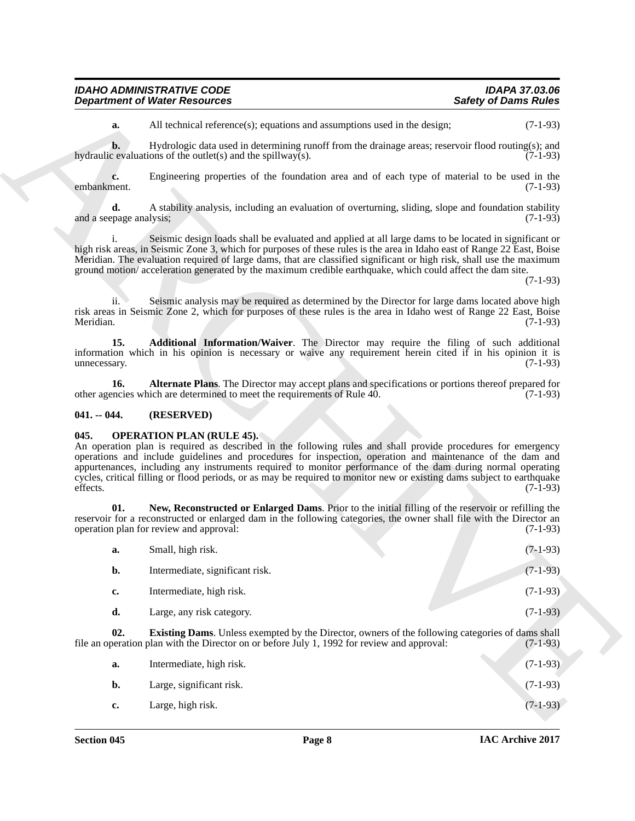| <b>IDAHO ADMINISTRATIVE CODE</b>     | <b>IDAPA 37.03.06</b>       |
|--------------------------------------|-----------------------------|
| <b>Department of Water Resources</b> | <b>Safety of Dams Rules</b> |

#### <span id="page-7-3"></span><span id="page-7-2"></span><span id="page-7-0"></span>**041. -- 044. (RESERVED)**

#### <span id="page-7-6"></span><span id="page-7-4"></span><span id="page-7-1"></span>**045. OPERATION PLAN (RULE 45).**

|                               | <b>Department of Water Resources</b>                                                                                                                                                                                                                                                                                                                                                                                                                                                                   | <b>Safety of Dams Rules</b> |
|-------------------------------|--------------------------------------------------------------------------------------------------------------------------------------------------------------------------------------------------------------------------------------------------------------------------------------------------------------------------------------------------------------------------------------------------------------------------------------------------------------------------------------------------------|-----------------------------|
| a.                            | All technical reference(s); equations and assumptions used in the design;                                                                                                                                                                                                                                                                                                                                                                                                                              | $(7-1-93)$                  |
| $\mathbf{b}$ .                | Hydrologic data used in determining runoff from the drainage areas; reservoir flood routing(s); and<br>hydraulic evaluations of the outlet(s) and the spillway(s).                                                                                                                                                                                                                                                                                                                                     | $(7-1-93)$                  |
| c.<br>embankment.             | Engineering properties of the foundation area and of each type of material to be used in the                                                                                                                                                                                                                                                                                                                                                                                                           | $(7-1-93)$                  |
| d.<br>and a seepage analysis; | A stability analysis, including an evaluation of overturning, sliding, slope and foundation stability                                                                                                                                                                                                                                                                                                                                                                                                  | $(7-1-93)$                  |
|                               | Seismic design loads shall be evaluated and applied at all large dams to be located in significant or<br>high risk areas, in Seismic Zone 3, which for purposes of these rules is the area in Idaho east of Range 22 East, Boise<br>Meridian. The evaluation required of large dams, that are classified significant or high risk, shall use the maximum<br>ground motion/acceleration generated by the maximum credible earthquake, which could affect the dam site.                                  | $(7-1-93)$                  |
| 11.<br>Meridian.              | Seismic analysis may be required as determined by the Director for large dams located above high<br>risk areas in Seismic Zone 2, which for purposes of these rules is the area in Idaho west of Range 22 East, Boise                                                                                                                                                                                                                                                                                  | $(7-1-93)$                  |
| 15.<br>unnecessary.           | Additional Information/Waiver. The Director may require the filing of such additional<br>information which in his opinion is necessary or waive any requirement herein cited if in his opinion it is                                                                                                                                                                                                                                                                                                   | $(7-1-93)$                  |
| 16.                           | Alternate Plans. The Director may accept plans and specifications or portions thereof prepared for<br>other agencies which are determined to meet the requirements of Rule 40.                                                                                                                                                                                                                                                                                                                         | $(7-1-93)$                  |
| $041. - 044.$                 | (RESERVED)                                                                                                                                                                                                                                                                                                                                                                                                                                                                                             |                             |
|                               |                                                                                                                                                                                                                                                                                                                                                                                                                                                                                                        |                             |
| 045.<br>effects.              | <b>OPERATION PLAN (RULE 45).</b><br>An operation plan is required as described in the following rules and shall provide procedures for emergency<br>operations and include guidelines and procedures for inspection, operation and maintenance of the dam and<br>appurtenances, including any instruments required to monitor performance of the dam during normal operating<br>cycles, critical filling or flood periods, or as may be required to monitor new or existing dams subject to earthquake | $(7-1-93)$                  |
| 01.                           | New, Reconstructed or Enlarged Dams. Prior to the initial filling of the reservoir or refilling the<br>reservoir for a reconstructed or enlarged dam in the following categories, the owner shall file with the Director an<br>operation plan for review and approval:                                                                                                                                                                                                                                 | $(7-1-93)$                  |
| a.                            | Small, high risk.                                                                                                                                                                                                                                                                                                                                                                                                                                                                                      | $(7-1-93)$                  |
| b.                            | Intermediate, significant risk.                                                                                                                                                                                                                                                                                                                                                                                                                                                                        | $(7-1-93)$                  |
| c.                            | Intermediate, high risk.                                                                                                                                                                                                                                                                                                                                                                                                                                                                               | $(7-1-93)$                  |
| d.                            | Large, any risk category.                                                                                                                                                                                                                                                                                                                                                                                                                                                                              | $(7-1-93)$                  |
| 02.                           | <b>Existing Dams.</b> Unless exempted by the Director, owners of the following categories of dams shall<br>file an operation plan with the Director on or before July 1, 1992 for review and approval:                                                                                                                                                                                                                                                                                                 | $(7-1-93)$                  |
| a.                            | Intermediate, high risk.                                                                                                                                                                                                                                                                                                                                                                                                                                                                               | $(7-1-93)$                  |
| b.                            | Large, significant risk.                                                                                                                                                                                                                                                                                                                                                                                                                                                                               | $(7-1-93)$                  |

<span id="page-7-5"></span>

| а. | Intermediate, high risk. | $(7-1-93)$ |
|----|--------------------------|------------|
| b. | Large, significant risk. | $(7-1-93)$ |
| c. | Large, high risk.        | $(7-1-93)$ |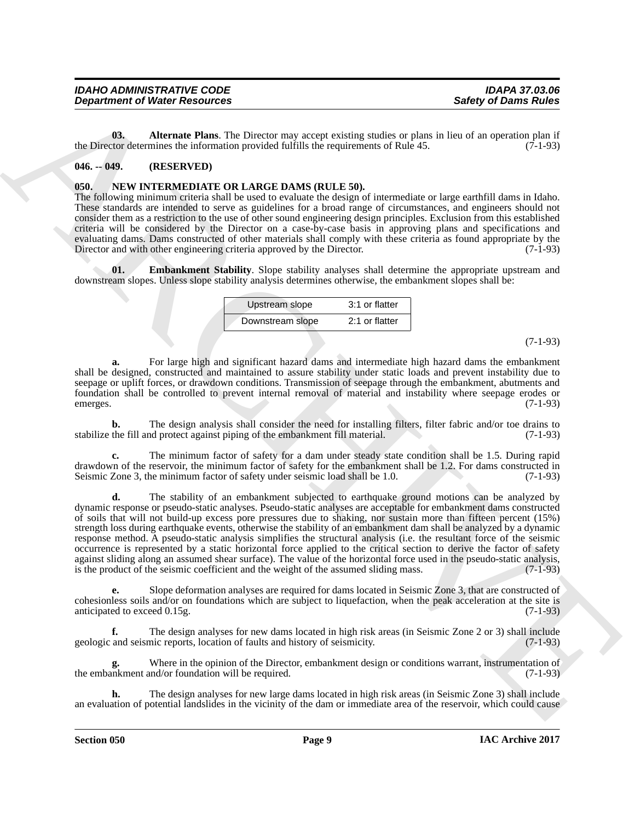| <b>IDAHO ADMINISTRATIVE CODE</b>     | <b>IDAPA 37.03.06</b>       |
|--------------------------------------|-----------------------------|
| <b>Department of Water Resources</b> | <b>Safety of Dams Rules</b> |

<span id="page-8-4"></span>**03. Alternate Plans**. The Director may accept existing studies or plans in lieu of an operation plan if the Director determines the information provided fulfills the requirements of Rule 45. (7-1-93)

#### <span id="page-8-0"></span>**046. -- 049. (RESERVED)**

#### <span id="page-8-2"></span><span id="page-8-1"></span>**050. NEW INTERMEDIATE OR LARGE DAMS (RULE 50).**

The following minimum criteria shall be used to evaluate the design of intermediate or large earthfill dams in Idaho. These standards are intended to serve as guidelines for a broad range of circumstances, and engineers should not consider them as a restriction to the use of other sound engineering design principles. Exclusion from this established criteria will be considered by the Director on a case-by-case basis in approving plans and specifications and evaluating dams. Dams constructed of other materials shall comply with these criteria as found appropriate by the Director and with other engineering criteria approved by the Director. (7-1-93) Director and with other engineering criteria approved by the Director.

<span id="page-8-3"></span>**01. Embankment Stability**. Slope stability analyses shall determine the appropriate upstream and downstream slopes. Unless slope stability analysis determines otherwise, the embankment slopes shall be:

| Upstream slope   | 3:1 or flatter |
|------------------|----------------|
| Downstream slope | 2:1 or flatter |

(7-1-93)

**a.** For large high and significant hazard dams and intermediate high hazard dams the embankment shall be designed, constructed and maintained to assure stability under static loads and prevent instability due to seepage or uplift forces, or drawdown conditions. Transmission of seepage through the embankment, abutments and foundation shall be controlled to prevent internal removal of material and instability where seepage erodes or emerges. (7-1-93)

**b.** The design analysis shall consider the need for installing filters, filter fabric and/or toe drains to stabilize the fill and protect against piping of the embankment fill material. (7-1-93)

**c.** The minimum factor of safety for a dam under steady state condition shall be 1.5. During rapid drawdown of the reservoir, the minimum factor of safety for the embankment shall be 1.2. For dams constructed in Seismic Zone 3, the minimum factor of safety under seismic load shall be 1.0. (7-1-93)

**Experiment of Nicetal Resolution**<br> **Constraint Constraint Constraint Constraint Constraint Constraint Constraint Constraint Constraint Constraint Constraint Constraint Constraint Constraint Constraint Constraint Constrai d.** The stability of an embankment subjected to earthquake ground motions can be analyzed by dynamic response or pseudo-static analyses. Pseudo-static analyses are acceptable for embankment dams constructed of soils that will not build-up excess pore pressures due to shaking, nor sustain more than fifteen percent (15%) strength loss during earthquake events, otherwise the stability of an embankment dam shall be analyzed by a dynamic response method. A pseudo-static analysis simplifies the structural analysis (i.e. the resultant force of the seismic occurrence is represented by a static horizontal force applied to the critical section to derive the factor of safety against sliding along an assumed shear surface). The value of the horizontal force used in the pseudo-static analysis, is the product of the seismic coefficient and the weight of the assumed sliding mass. (7-1-93) is the product of the seismic coefficient and the weight of the assumed sliding mass.

**e.** Slope deformation analyses are required for dams located in Seismic Zone 3, that are constructed of cohesionless soils and/or on foundations which are subject to liquefaction, when the peak acceleration at the site is anticipated to exceed 0.15g.

The design analyses for new dams located in high risk areas (in Seismic Zone 2 or 3) shall include nic reports, location of faults and history of seismicity. (7-1-93) geologic and seismic reports, location of faults and history of seismicity.

Where in the opinion of the Director, embankment design or conditions warrant, instrumentation of md/or foundation will be required. (7-1-93) the embankment and/or foundation will be required.

**h.** The design analyses for new large dams located in high risk areas (in Seismic Zone 3) shall include an evaluation of potential landslides in the vicinity of the dam or immediate area of the reservoir, which could cause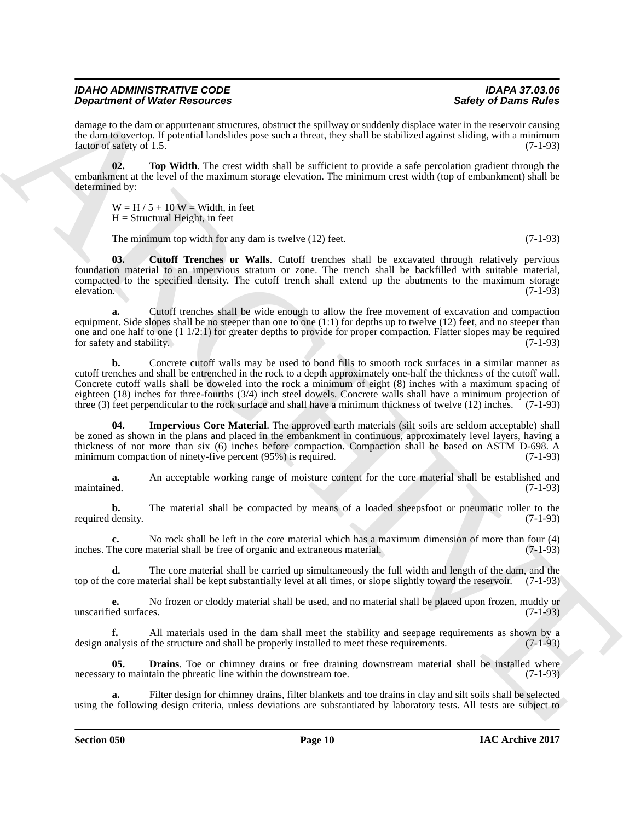damage to the dam or appurtenant structures, obstruct the spillway or suddenly displace water in the reservoir causing the dam to overtop. If potential landslides pose such a threat, they shall be stabilized against sliding, with a minimum factor of safety of 1.5.  $(7-1-93)$ 

**02. Top Width**. The crest width shall be sufficient to provide a safe percolation gradient through the embankment at the level of the maximum storage elevation. The minimum crest width (top of embankment) shall be determined by:

<span id="page-9-3"></span> $W = H / 5 + 10$  W = Width, in feet  $H =$  Structural Height, in feet

<span id="page-9-0"></span>The minimum top width for any dam is twelve (12) feet. (7-1-93)

**03. Cutoff Trenches or Walls**. Cutoff trenches shall be excavated through relatively pervious foundation material to an impervious stratum or zone. The trench shall be backfilled with suitable material, compacted to the specified density. The cutoff trench shall extend up the abutments to the maximum storage elevation. (7-1-93)  $e^{(-1.93)}$ 

**a.** Cutoff trenches shall be wide enough to allow the free movement of excavation and compaction equipment. Side slopes shall be no steeper than one to one  $(1:1)$  for depths up to twelve  $(12)$  feet, and no steeper than one and one half to one (1  $1/2:1$ ) for greater depths to provide for proper compaction. Flatter slopes may be required for safety and stability. (7-1-93) for safety and stability.

**Dependent of Weiler Hendrich Constraints, where the system of subset of Daring School Constraints (All the system of the system of the system of the system of the system of the system of the system of the system of the s b.** Concrete cutoff walls may be used to bond fills to smooth rock surfaces in a similar manner as cutoff trenches and shall be entrenched in the rock to a depth approximately one-half the thickness of the cutoff wall. Concrete cutoff walls shall be doweled into the rock a minimum of eight (8) inches with a maximum spacing of eighteen (18) inches for three-fourths (3/4) inch steel dowels. Concrete walls shall have a minimum projection of three (3) feet perpendicular to the rock surface and shall have a minimum thickness of twelve (12) inches. (7-1-93)

<span id="page-9-2"></span>**04. Impervious Core Material**. The approved earth materials (silt soils are seldom acceptable) shall be zoned as shown in the plans and placed in the embankment in continuous, approximately level layers, having a thickness of not more than six (6) inches before compaction. Compaction shall be based on ASTM D-698. A minimum compaction of ninety-five percent (95%) is required. (7-1-93) minimum compaction of ninety-five percent  $(95%)$  is required.

**a.** An acceptable working range of moisture content for the core material shall be established and maintained. (7-1-93) maintained. (7-1-93)

**b.** The material shall be compacted by means of a loaded sheepsfoot or pneumatic roller to the required density. (7-1-93)

**c.** No rock shall be left in the core material which has a maximum dimension of more than four (4) The core material shall be free of organic and extraneous material. (7-1-93) inches. The core material shall be free of organic and extraneous material.

**d.** The core material shall be carried up simultaneously the full width and length of the dam, and the exercise or score material shall be kept substantially level at all times, or slope slightly toward the reservoir. (7top of the core material shall be kept substantially level at all times, or slope slightly toward the reservoir.

**e.** No frozen or cloddy material shall be used, and no material shall be placed upon frozen, muddy or unscarified surfaces. (7-1-93)

**f.** All materials used in the dam shall meet the stability and seepage requirements as shown by a nalysis of the structure and shall be properly installed to meet these requirements. (7-1-93) design analysis of the structure and shall be properly installed to meet these requirements.

<span id="page-9-1"></span>**05. Drains**. Toe or chimney drains or free draining downstream material shall be installed where v to maintain the phreatic line within the downstream toe. (7-1-93) necessary to maintain the phreatic line within the downstream toe.

Filter design for chimney drains, filter blankets and toe drains in clay and silt soils shall be selected using the following design criteria, unless deviations are substantiated by laboratory tests. All tests are subject to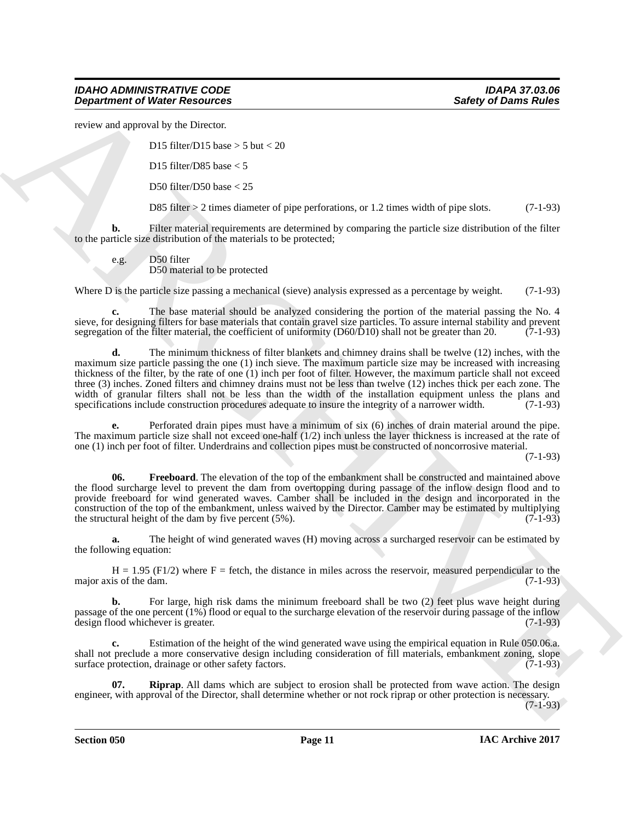review and approval by the Director.

D15 filter/D15 base  $> 5$  but  $< 20$ 

D15 filter/D85 base < 5

D50 filter/D50 base < 25

D85 filter > 2 times diameter of pipe perforations, or 1.2 times width of pipe slots. (7-1-93)

**b.** Filter material requirements are determined by comparing the particle size distribution of the filter to the particle size distribution of the materials to be protected;

e.g. D50 filter

D50 material to be protected

Where D is the particle size passing a mechanical (sieve) analysis expressed as a percentage by weight. (7-1-93)

**c.** The base material should be analyzed considering the portion of the material passing the No. 4 sieve, for designing filters for base materials that contain gravel size particles. To assure internal stability and prevent segregation of the filter material, the coefficient of uniformity (D60/D10) shall not be greater segregation of the filter material, the coefficient of uniformity  $(D60/D10)$  shall not be greater than 20.

**Experiment of Niese Resolution**<br> **Experiment of Niese Resolution**<br>
Dist sharehold the District State is that  $\times$  30<br>
Distribute the Since Contains and the Since Contains and the Since Since Since Contains and the Since **d.** The minimum thickness of filter blankets and chimney drains shall be twelve (12) inches, with the maximum size particle passing the one (1) inch sieve. The maximum particle size may be increased with increasing thickness of the filter, by the rate of one (1) inch per foot of filter. However, the maximum particle shall not exceed three (3) inches. Zoned filters and chimney drains must not be less than twelve (12) inches thick per each zone. The width of granular filters shall not be less than the width of the installation equipment unless the plans and specifications include construction procedures adequate to insure the integrity of a narrower width. (7-1-93) specifications include construction procedures adequate to insure the integrity of a narrower width.

**e.** Perforated drain pipes must have a minimum of six (6) inches of drain material around the pipe. The maximum particle size shall not exceed one-half (1/2) inch unless the layer thickness is increased at the rate of one (1) inch per foot of filter. Underdrains and collection pipes must be constructed of noncorrosive material.

(7-1-93)

<span id="page-10-0"></span>**06.** Freeboard. The elevation of the top of the embankment shall be constructed and maintained above the flood surcharge level to prevent the dam from overtopping during passage of the inflow design flood and to provide freeboard for wind generated waves. Camber shall be included in the design and incorporated in the construction of the top of the embankment, unless waived by the Director. Camber may be estimated by multiplying the structural height of the dam by five percent (5%). (7-1-93)

**a.** The height of wind generated waves (H) moving across a surcharged reservoir can be estimated by the following equation:

 $H = 1.95$  (F1/2) where F = fetch, the distance in miles across the reservoir, measured perpendicular to the is of the dam. (7-1-93) major axis of the dam.

**b.** For large, high risk dams the minimum freeboard shall be two (2) feet plus wave height during passage of the one percent (1%) flood or equal to the surcharge elevation of the reservoir during passage of the inflow<br>design flood whichever is greater. (7-1-93) design flood whichever is greater.

**c.** Estimation of the height of the wind generated wave using the empirical equation in Rule 050.06.a. shall not preclude a more conservative design including consideration of fill materials, embankment zoning, slope<br>surface protection, drainage or other safety factors. (7-1-93) surface protection, drainage or other safety factors.

<span id="page-10-1"></span>**07. Riprap**. All dams which are subject to erosion shall be protected from wave action. The design engineer, with approval of the Director, shall determine whether or not rock riprap or other protection is necessary.

 $(7-1-93)$ 

**Section 050 Page 11**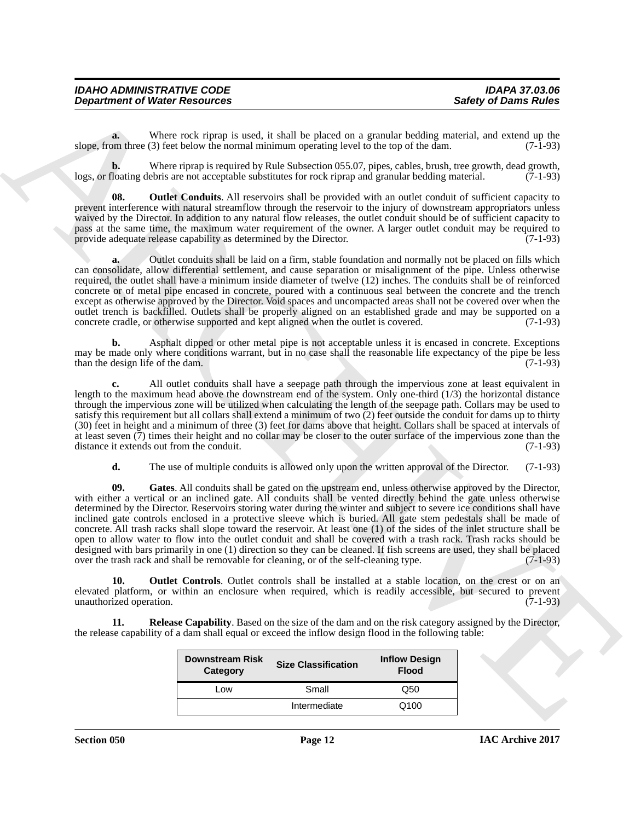| <b>IDAHO ADMINISTRATIVE CODE</b>     | <b>IDAPA 37.03.06</b>       |
|--------------------------------------|-----------------------------|
| <b>Department of Water Resources</b> | <b>Safety of Dams Rules</b> |

**a.** Where rock riprap is used, it shall be placed on a granular bedding material, and extend up the om three (3) feet below the normal minimum operating level to the top of the dam. (7-1-93) slope, from three  $(3)$  feet below the normal minimum operating level to the top of the dam.

**b.** Where riprap is required by Rule Subsection 055.07, pipes, cables, brush, tree growth, dead growth, logs, or floating debris are not acceptable substitutes for rock riprap and granular bedding material. (7-1-93)

<span id="page-11-1"></span>**08.** Outlet Conduits. All reservoirs shall be provided with an outlet conduit of sufficient capacity to prevent interference with natural streamflow through the reservoir to the injury of downstream appropriators unless waived by the Director. In addition to any natural flow releases, the outlet conduit should be of sufficient capacity to pass at the same time, the maximum water requirement of the owner. A larger outlet conduit may be required to provide adequate release capability as determined by the Director. (7-1-93)

**a.** Outlet conduits shall be laid on a firm, stable foundation and normally not be placed on fills which can consolidate, allow differential settlement, and cause separation or misalignment of the pipe. Unless otherwise required, the outlet shall have a minimum inside diameter of twelve (12) inches. The conduits shall be of reinforced concrete or of metal pipe encased in concrete, poured with a continuous seal between the concrete and the trench except as otherwise approved by the Director. Void spaces and uncompacted areas shall not be covered over when the outlet trench is backfilled. Outlets shall be properly aligned on an established grade and may be supported on a concrete cradle, or otherwise supported and kept aligned when the outlet is covered. (7-1-93)

**b.** Asphalt dipped or other metal pipe is not acceptable unless it is encased in concrete. Exceptions may be made only where conditions warrant, but in no case shall the reasonable life expectancy of the pipe be less than the design life of the dam. (7-1-93)

**c.** All outlet conduits shall have a seepage path through the impervious zone at least equivalent in length to the maximum head above the downstream end of the system. Only one-third (1/3) the horizontal distance through the impervious zone will be utilized when calculating the length of the seepage path. Collars may be used to satisfy this requirement but all collars shall extend a minimum of two  $\overline{c}$ ) feet outside the conduit for dams up to thirty (30) feet in height and a minimum of three (3) feet for dams above that height. Collars shall be spaced at intervals of at least seven  $(7)$  times their height and no collar may be closer to the outer surface of the impervious zone than the distance it extends out from the conduit.  $(7-1-93)$ distance it extends out from the conduit.

<span id="page-11-0"></span>**d.** The use of multiple conduits is allowed only upon the written approval of the Director. (7-1-93)

**Experiment of Nieser Researches**<br>
We must be the proof of Europe is and it by placed on a product specified form is the control of the specified points of the specified points of the specified points of the specified poi **09. Gates**. All conduits shall be gated on the upstream end, unless otherwise approved by the Director, with either a vertical or an inclined gate. All conduits shall be vented directly behind the gate unless otherwise determined by the Director. Reservoirs storing water during the winter and subject to severe ice conditions shall have inclined gate controls enclosed in a protective sleeve which is buried. All gate stem pedestals shall be made of concrete. All trash racks shall slope toward the reservoir. At least one (1) of the sides of the inlet structure shall be open to allow water to flow into the outlet conduit and shall be covered with a trash rack. Trash racks should be designed with bars primarily in one (1) direction so they can be cleaned. If fish screens are used, they shall be placed over the trash rack and shall be removable for cleaning, or of the self-cleaning type. (7-1-93)

<span id="page-11-2"></span>**10. Outlet Controls**. Outlet controls shall be installed at a stable location, on the crest or on an elevated platform, or within an enclosure when required, which is readily accessible, but secured to prevent unauthorized operation. (7-1-93)

**11. Release Capability**. Based on the size of the dam and on the risk category assigned by the Director, the release capability of a dam shall equal or exceed the inflow design flood in the following table:

<span id="page-11-3"></span>

| <b>Downstream Risk</b><br>Category | <b>Size Classification</b> | <b>Inflow Design</b><br><b>Flood</b> |
|------------------------------------|----------------------------|--------------------------------------|
| ∣ ∩w                               | Small                      | Q50                                  |
|                                    | Intermediate               | Q100                                 |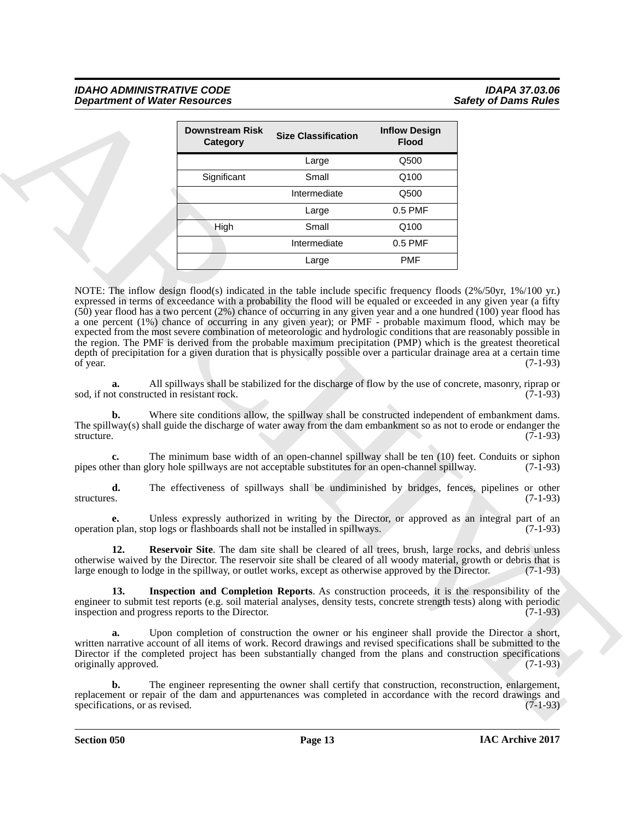|                                                  | <b>Downstream Risk</b><br>Category               | <b>Size Classification</b>                                                                            | <b>Inflow Design</b><br><b>Flood</b> |                                                                                                                                                                                                                                                                                                                                                                                                                                                                                              |
|--------------------------------------------------|--------------------------------------------------|-------------------------------------------------------------------------------------------------------|--------------------------------------|----------------------------------------------------------------------------------------------------------------------------------------------------------------------------------------------------------------------------------------------------------------------------------------------------------------------------------------------------------------------------------------------------------------------------------------------------------------------------------------------|
|                                                  |                                                  | Large                                                                                                 | Q500                                 |                                                                                                                                                                                                                                                                                                                                                                                                                                                                                              |
|                                                  | Significant                                      | Small                                                                                                 | Q100                                 |                                                                                                                                                                                                                                                                                                                                                                                                                                                                                              |
|                                                  |                                                  | Intermediate                                                                                          | Q500                                 |                                                                                                                                                                                                                                                                                                                                                                                                                                                                                              |
|                                                  |                                                  | Large                                                                                                 | 0.5 PMF                              |                                                                                                                                                                                                                                                                                                                                                                                                                                                                                              |
|                                                  | High                                             | Small                                                                                                 | Q100                                 |                                                                                                                                                                                                                                                                                                                                                                                                                                                                                              |
|                                                  |                                                  | Intermediate                                                                                          | 0.5 PMF                              |                                                                                                                                                                                                                                                                                                                                                                                                                                                                                              |
|                                                  |                                                  | Large                                                                                                 | <b>PMF</b>                           |                                                                                                                                                                                                                                                                                                                                                                                                                                                                                              |
| of year.                                         |                                                  |                                                                                                       |                                      | a one percent (1%) chance of occurring in any given year); or PMF - probable maximum flood, which may be<br>expected from the most severe combination of meteorologic and hydrologic conditions that are reasonably possible in<br>the region. The PMF is derived from the probable maximum precipitation (PMP) which is the greatest theoretical<br>depth of precipitation for a given duration that is physically possible over a particular drainage area at a certain time<br>$(7-1-93)$ |
| a.<br>sod, if not constructed in resistant rock. |                                                  |                                                                                                       |                                      | All spillways shall be stabilized for the discharge of flow by the use of concrete, masonry, riprap or<br>$(7-1-93)$                                                                                                                                                                                                                                                                                                                                                                         |
| b.<br>structure.                                 |                                                  |                                                                                                       |                                      | Where site conditions allow, the spillway shall be constructed independent of embankment dams.<br>The spillway(s) shall guide the discharge of water away from the dam embankment so as not to erode or endanger the<br>$(7-1-93)$                                                                                                                                                                                                                                                           |
| c.                                               |                                                  | pipes other than glory hole spillways are not acceptable substitutes for an open-channel spillway.    |                                      | The minimum base width of an open-channel spillway shall be ten (10) feet. Conduits or siphon<br>$(7-1-93)$                                                                                                                                                                                                                                                                                                                                                                                  |
| d.<br>structures.                                |                                                  |                                                                                                       |                                      | The effectiveness of spillways shall be undiminished by bridges, fences, pipelines or other<br>$(7-1-93)$                                                                                                                                                                                                                                                                                                                                                                                    |
| e.                                               |                                                  | operation plan, stop logs or flashboards shall not be installed in spillways.                         |                                      | Unless expressly authorized in writing by the Director, or approved as an integral part of an<br>$(7-1-93)$                                                                                                                                                                                                                                                                                                                                                                                  |
| 12.                                              |                                                  | large enough to lodge in the spillway, or outlet works, except as otherwise approved by the Director. |                                      | Reservoir Site. The dam site shall be cleared of all trees, brush, large rocks, and debris unless<br>otherwise waived by the Director. The reservoir site shall be cleared of all woody material, growth or debris that is<br>$(7-1-93)$                                                                                                                                                                                                                                                     |
| 13.                                              | inspection and progress reports to the Director. |                                                                                                       |                                      | Inspection and Completion Reports. As construction proceeds, it is the responsibility of the<br>engineer to submit test reports (e.g. soil material analyses, density tests, concrete strength tests) along with periodic<br>$(7-1-93)$                                                                                                                                                                                                                                                      |
|                                                  |                                                  |                                                                                                       |                                      |                                                                                                                                                                                                                                                                                                                                                                                                                                                                                              |
| a.<br>originally approved.                       |                                                  |                                                                                                       |                                      | Upon completion of construction the owner or his engineer shall provide the Director a short,<br>written narrative account of all items of work. Record drawings and revised specifications shall be submitted to the<br>Director if the completed project has been substantially changed from the plans and construction specifications<br>$(7-1-93)$                                                                                                                                       |

<span id="page-12-1"></span><span id="page-12-0"></span>**Section 050 Page 13**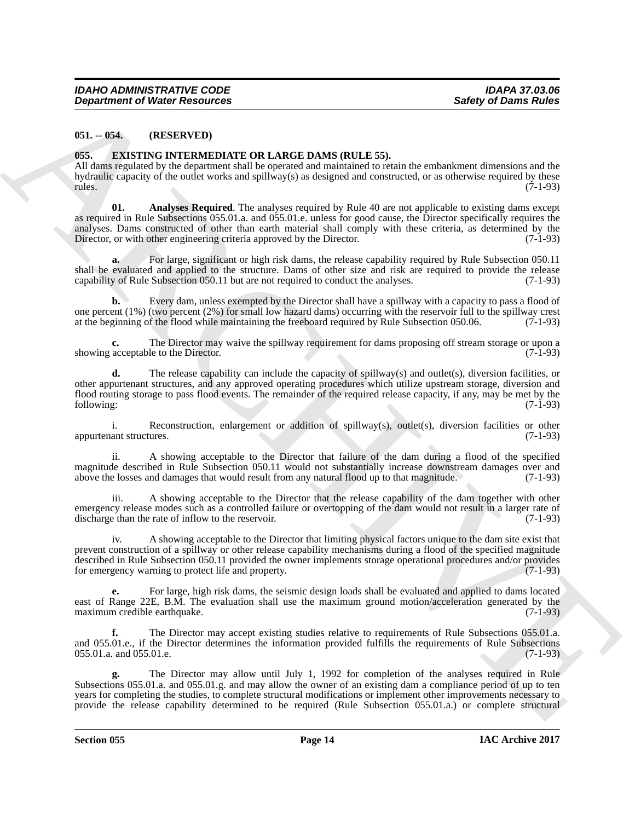#### <span id="page-13-0"></span>**051. -- 054. (RESERVED)**

#### <span id="page-13-2"></span><span id="page-13-1"></span>**055. EXISTING INTERMEDIATE OR LARGE DAMS (RULE 55).**

<span id="page-13-3"></span>All dams regulated by the department shall be operated and maintained to retain the embankment dimensions and the hydraulic capacity of the outlet works and spillway(s) as designed and constructed, or as otherwise required by these rules. (7-1-93) rules. (7-1-93)

*Gregoritation of Weight Resources*<br> **Survey of Down Resources**<br> **CEL (IRENENTIATE) CELE CONTROVIDENT CONTROVIDENT CONTROVIDENT SP.**<br>
AND control and the survey of the control and the system of the control and the end **01. Analyses Required**. The analyses required by Rule 40 are not applicable to existing dams except as required in Rule Subsections 055.01.a. and 055.01.e. unless for good cause, the Director specifically requires the analyses. Dams constructed of other than earth material shall comply with these criteria, as determined by the Director, or with other engineering criteria approved by the Director. (7-1-93) Director, or with other engineering criteria approved by the Director.

**a.** For large, significant or high risk dams, the release capability required by Rule Subsection 050.11 shall be evaluated and applied to the structure. Dams of other size and risk are required to provide the release capability of Rule Subsection 050.11 but are not required to conduct the analyses. (7-1-93)

**b.** Every dam, unless exempted by the Director shall have a spillway with a capacity to pass a flood of one percent (1%) (two percent (2%) for small low hazard dams) occurring with the reservoir full to the spillway crest at the beginning of the flood while maintaining the freeboard required by Rule Subsection 050.06. (7-1-93)

**c.** The Director may waive the spillway requirement for dams proposing off stream storage or upon a acceptable to the Director. (7-1-93) showing acceptable to the Director.

**d.** The release capability can include the capacity of spillway(s) and outlet(s), diversion facilities, or other appurtenant structures, and any approved operating procedures which utilize upstream storage, diversion and flood routing storage to pass flood events. The remainder of the required release capacity, if any, may be met by the following: (7-1-93) following: (7-1-93)

i. Reconstruction, enlargement or addition of spillway(s), outlet(s), diversion facilities or other (7-1-93) appurtenant structures.

ii. A showing acceptable to the Director that failure of the dam during a flood of the specified magnitude described in Rule Subsection 050.11 would not substantially increase downstream damages over and above the losses and damages that would result from any natural flood up to that magnitude. (7-1-93) above the losses and damages that would result from any natural flood up to that magnitude.

iii. A showing acceptable to the Director that the release capability of the dam together with other emergency release modes such as a controlled failure or overtopping of the dam would not result in a larger rate of discharge than the rate of inflow to the reservoir. (7-1-93)

iv. A showing acceptable to the Director that limiting physical factors unique to the dam site exist that prevent construction of a spillway or other release capability mechanisms during a flood of the specified magnitude described in Rule Subsection 050.11 provided the owner implements storage operational procedures and/or provides for emergency warning to protect life and property. (7-1-93)

**e.** For large, high risk dams, the seismic design loads shall be evaluated and applied to dams located east of Range 22E, B.M. The evaluation shall use the maximum ground motion/acceleration generated by the maximum credible earthquake. (7-1-93)

The Director may accept existing studies relative to requirements of Rule Subsections 055.01.a. and 055.01.e., if the Director determines the information provided fulfills the requirements of Rule Subsections 055.01.a. and 055.01.e. (7-1-93)

**g.** The Director may allow until July 1, 1992 for completion of the analyses required in Rule Subsections 055.01.a. and 055.01.g. and may allow the owner of an existing dam a compliance period of up to ten years for completing the studies, to complete structural modifications or implement other improvements necessary to provide the release capability determined to be required (Rule Subsection 055.01.a.) or complete structural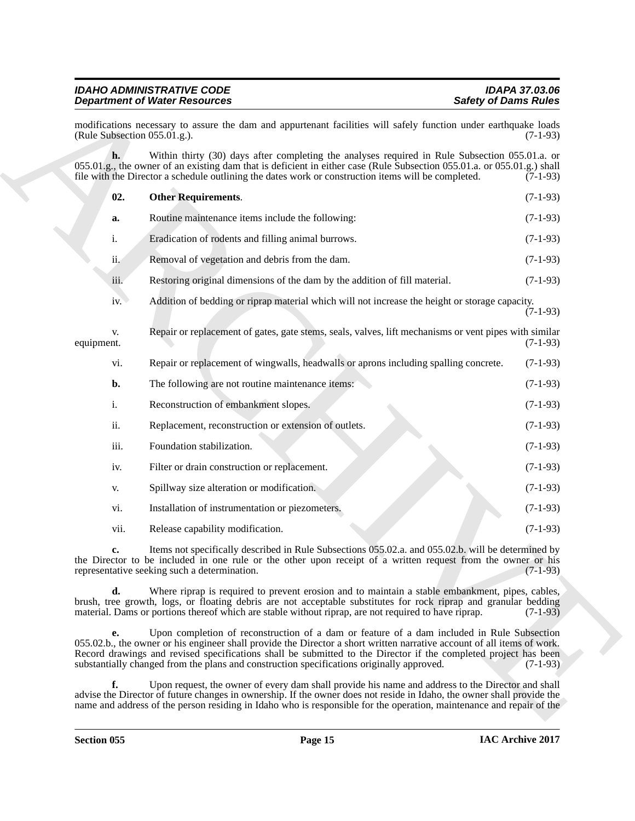<span id="page-14-0"></span>

|                              | <b>Department of Water Resources</b>                                                                                                                                                                                                                                                                                                                                                                                                  | <b>Safety of Dams Rules</b> |
|------------------------------|---------------------------------------------------------------------------------------------------------------------------------------------------------------------------------------------------------------------------------------------------------------------------------------------------------------------------------------------------------------------------------------------------------------------------------------|-----------------------------|
| (Rule Subsection 055.01.g.). | modifications necessary to assure the dam and appurtenant facilities will safely function under earthquake loads                                                                                                                                                                                                                                                                                                                      | $(7-1-93)$                  |
| h.                           | Within thirty (30) days after completing the analyses required in Rule Subsection 055.01.a. or<br>055.01.g., the owner of an existing dam that is deficient in either case (Rule Subsection 055.01.a. or 055.01.g.) shall<br>file with the Director a schedule outlining the dates work or construction items will be completed.                                                                                                      | $(7-1-93)$                  |
| 02.                          | <b>Other Requirements.</b>                                                                                                                                                                                                                                                                                                                                                                                                            | $(7-1-93)$                  |
| a.                           | Routine maintenance items include the following:                                                                                                                                                                                                                                                                                                                                                                                      | $(7-1-93)$                  |
| i.                           | Eradication of rodents and filling animal burrows.                                                                                                                                                                                                                                                                                                                                                                                    | $(7-1-93)$                  |
| ii.                          | Removal of vegetation and debris from the dam.                                                                                                                                                                                                                                                                                                                                                                                        | $(7-1-93)$                  |
| iii.                         | Restoring original dimensions of the dam by the addition of fill material.                                                                                                                                                                                                                                                                                                                                                            | $(7-1-93)$                  |
| iv.                          | Addition of bedding or riprap material which will not increase the height or storage capacity.                                                                                                                                                                                                                                                                                                                                        | $(7-1-93)$                  |
| V.<br>equipment.             | Repair or replacement of gates, gate stems, seals, valves, lift mechanisms or vent pipes with similar                                                                                                                                                                                                                                                                                                                                 | $(7-1-93)$                  |
| vi.                          | Repair or replacement of wingwalls, headwalls or aprons including spalling concrete.                                                                                                                                                                                                                                                                                                                                                  | $(7-1-93)$                  |
| b.                           | The following are not routine maintenance items:                                                                                                                                                                                                                                                                                                                                                                                      | $(7-1-93)$                  |
| $\mathbf{i}$ .               | Reconstruction of embankment slopes.                                                                                                                                                                                                                                                                                                                                                                                                  | $(7-1-93)$                  |
| ii.                          | Replacement, reconstruction or extension of outlets.                                                                                                                                                                                                                                                                                                                                                                                  | $(7-1-93)$                  |
| iii.                         | Foundation stabilization.                                                                                                                                                                                                                                                                                                                                                                                                             | $(7-1-93)$                  |
| iv.                          | Filter or drain construction or replacement.                                                                                                                                                                                                                                                                                                                                                                                          | $(7-1-93)$                  |
| V.                           | Spillway size alteration or modification.                                                                                                                                                                                                                                                                                                                                                                                             | $(7-1-93)$                  |
| vi.                          | Installation of instrumentation or piezometers.                                                                                                                                                                                                                                                                                                                                                                                       | $(7-1-93)$                  |
| vii.                         | Release capability modification.                                                                                                                                                                                                                                                                                                                                                                                                      | $(7-1-93)$                  |
| c.                           | Items not specifically described in Rule Subsections 055.02.a. and 055.02.b. will be determined by<br>the Director to be included in one rule or the other upon receipt of a written request from the owner or his<br>representative seeking such a determination.                                                                                                                                                                    | $(7-1-93)$                  |
| d.                           | Where riprap is required to prevent erosion and to maintain a stable embankment, pipes, cables,<br>brush, tree growth, logs, or floating debris are not acceptable substitutes for rock riprap and granular bedding<br>material. Dams or portions thereof which are stable without riprap, are not required to have riprap.                                                                                                           | $(7-1-93)$                  |
| e.                           | Upon completion of reconstruction of a dam or feature of a dam included in Rule Subsection<br>055.02.b., the owner or his engineer shall provide the Director a short written narrative account of all items of work.<br>Record drawings and revised specifications shall be submitted to the Director if the completed project has been<br>substantially changed from the plans and construction specifications originally approved. | $(7-1-93)$                  |
| f.                           | Upon request, the owner of every dam shall provide his name and address to the Director and shall<br>advise the Director of future changes in ownership. If the owner does not reside in Idaho, the owner shall provide the                                                                                                                                                                                                           |                             |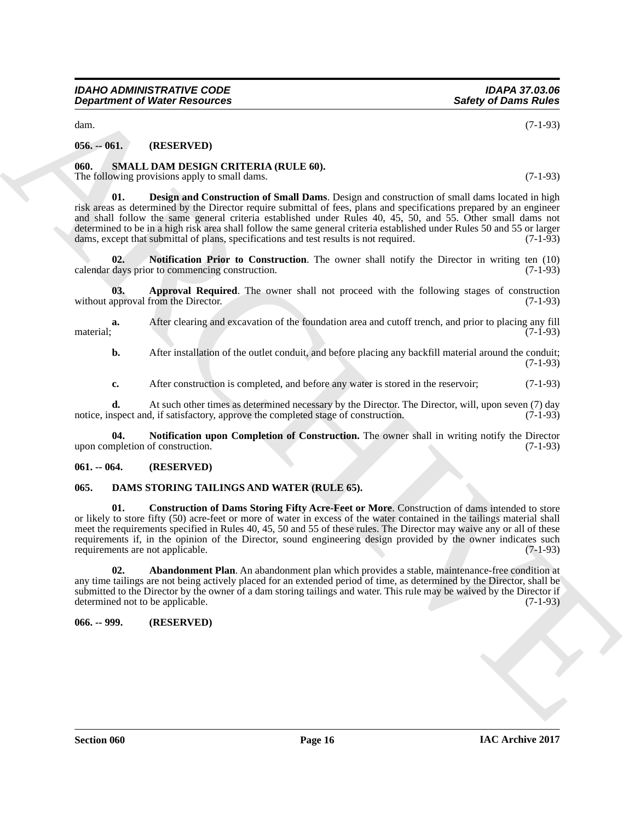dam. (7-1-93)

#### <span id="page-15-0"></span>**056. -- 061. (RESERVED)**

#### <span id="page-15-8"></span><span id="page-15-1"></span>**060. SMALL DAM DESIGN CRITERIA (RULE 60).**

<span id="page-15-10"></span>The following provisions apply to small dams. (7-1-93)

**Experiment of Nicker Resources**<br>
Sure of Extra CNU, Det NST-RV-FRI)<br>
666. Sure of Extra CNU, The CNU of CNU of CNU of CNU of CNU of CNU of CNU<br>
11. Continue person on apply to main discussed continue Design and continued **01. Design and Construction of Small Dams**. Design and construction of small dams located in high risk areas as determined by the Director require submittal of fees, plans and specifications prepared by an engineer and shall follow the same general criteria established under Rules 40, 45, 50, and 55. Other small dams not determined to be in a high risk area shall follow the same general criteria established under Rules 50 and 55 or larger dams, except that submittal of plans, specifications and test results is not required. (7-1-93)

<span id="page-15-11"></span>**02. Notification Prior to Construction**. The owner shall notify the Director in writing ten (10) calendar days prior to commencing construction. (7-1-93)

<span id="page-15-9"></span>**03. Approval Required**. The owner shall not proceed with the following stages of construction upproval from the Director. (7-1-93) without approval from the Director.

**a.** After clearing and excavation of the foundation area and cutoff trench, and prior to placing any fill (7-1-93) material; (7-1-93)

**b.** After installation of the outlet conduit, and before placing any backfill material around the conduit; (7-1-93)

<span id="page-15-12"></span>**c.** After construction is completed, and before any water is stored in the reservoir; (7-1-93)

**d.** At such other times as determined necessary by the Director. The Director, will, upon seven (7) day uspect and, if satisfactory, approve the completed stage of construction. (7-1-93) notice, inspect and, if satisfactory, approve the completed stage of construction.

**Notification upon Completion of Construction.** The owner shall in writing notify the Director of construction. (7-1-93) upon completion of construction.

#### <span id="page-15-2"></span>**061. -- 064. (RESERVED)**

#### <span id="page-15-5"></span><span id="page-15-3"></span>**065. DAMS STORING TAILINGS AND WATER (RULE 65).**

<span id="page-15-7"></span>**01. Construction of Dams Storing Fifty Acre-Feet or More**. Construction of dams intended to store or likely to store fifty (50) acre-feet or more of water in excess of the water contained in the tailings material shall meet the requirements specified in Rules 40, 45, 50 and 55 of these rules. The Director may waive any or all of these requirements if, in the opinion of the Director, sound engineering design provided by the owner indicates such requirements are not applicable. (7-1-93)

<span id="page-15-6"></span>**02. Abandonment Plan**. An abandonment plan which provides a stable, maintenance-free condition at any time tailings are not being actively placed for an extended period of time, as determined by the Director, shall be submitted to the Director by the owner of a dam storing tailings and water. This rule may be waived by the Director if determined not to be applicable. (7-1-93)

<span id="page-15-4"></span>**066. -- 999. (RESERVED)**